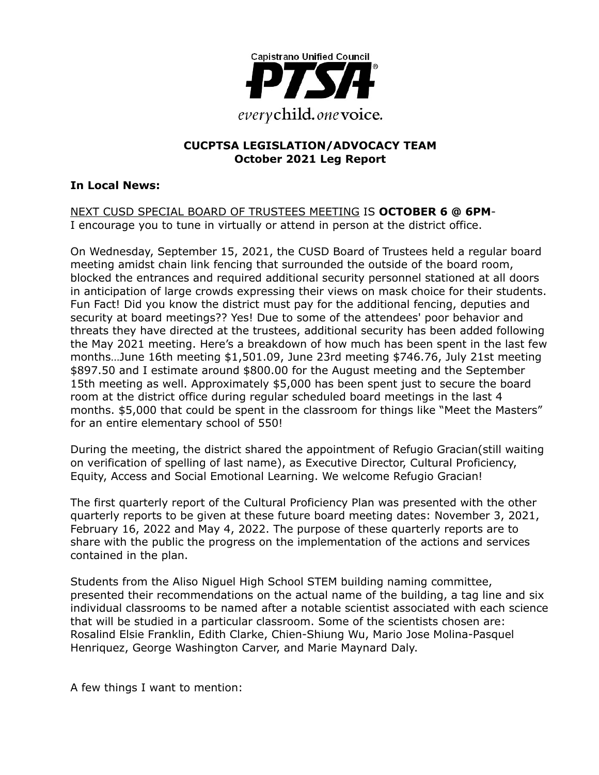

#### **CUCPTSA LEGISLATION/ADVOCACY TEAM October 2021 Leg Report**

#### **In Local News:**

NEXT CUSD SPECIAL BOARD OF TRUSTEES MEETING IS **OCTOBER 6 @ 6PM**-I encourage you to tune in virtually or attend in person at the district office.

On Wednesday, September 15, 2021, the CUSD Board of Trustees held a regular board meeting amidst chain link fencing that surrounded the outside of the board room, blocked the entrances and required additional security personnel stationed at all doors in anticipation of large crowds expressing their views on mask choice for their students. Fun Fact! Did you know the district must pay for the additional fencing, deputies and security at board meetings?? Yes! Due to some of the attendees' poor behavior and threats they have directed at the trustees, additional security has been added following the May 2021 meeting. Here's a breakdown of how much has been spent in the last few months…June 16th meeting \$1,501.09, June 23rd meeting \$746.76, July 21st meeting \$897.50 and I estimate around \$800.00 for the August meeting and the September 15th meeting as well. Approximately \$5,000 has been spent just to secure the board room at the district office during regular scheduled board meetings in the last 4 months. \$5,000 that could be spent in the classroom for things like "Meet the Masters" for an entire elementary school of 550!

During the meeting, the district shared the appointment of Refugio Gracian(still waiting on verification of spelling of last name), as Executive Director, Cultural Proficiency, Equity, Access and Social Emotional Learning. We welcome Refugio Gracian!

The first quarterly report of the Cultural Proficiency Plan was presented with the other quarterly reports to be given at these future board meeting dates: November 3, 2021, February 16, 2022 and May 4, 2022. The purpose of these quarterly reports are to share with the public the progress on the implementation of the actions and services contained in the plan.

Students from the Aliso Niguel High School STEM building naming committee, presented their recommendations on the actual name of the building, a tag line and six individual classrooms to be named after a notable scientist associated with each science that will be studied in a particular classroom. Some of the scientists chosen are: Rosalind Elsie Franklin, Edith Clarke, Chien-Shiung Wu, Mario Jose Molina-Pasquel Henriquez, George Washington Carver, and Marie Maynard Daly.

A few things I want to mention: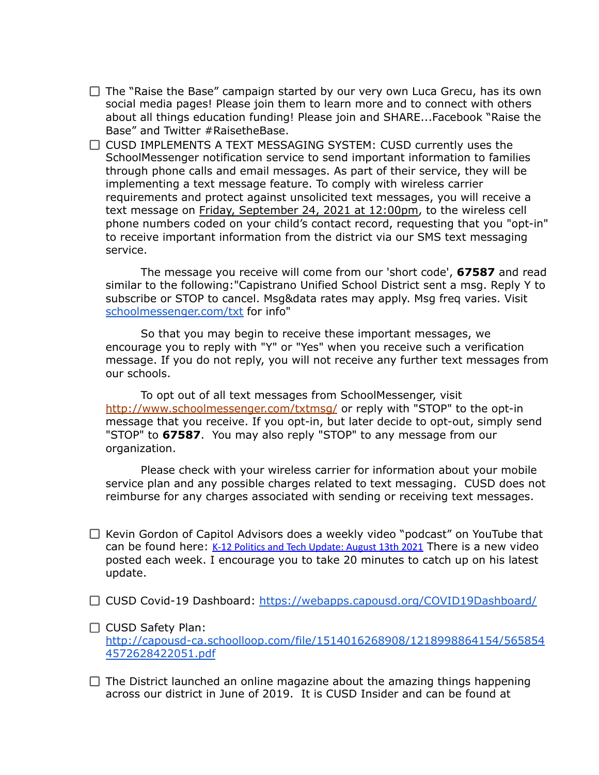- $\Box$  The "Raise the Base" campaign started by our very own Luca Grecu, has its own social media pages! Please join them to learn more and to connect with others about all things education funding! Please join and SHARE...Facebook "Raise the Base" and Twitter #RaisetheBase.
- $\Box$  CUSD IMPLEMENTS A TEXT MESSAGING SYSTEM: CUSD currently uses the SchoolMessenger notification service to send important information to families through phone calls and email messages. As part of their service, they will be implementing a text message feature. To comply with wireless carrier requirements and protect against unsolicited text messages, you will receive a text message on Friday, September 24, 2021 at 12:00pm, to the wireless cell phone numbers coded on your child's contact record, requesting that you "opt-in" to receive important information from the district via our SMS text messaging service.

The message you receive will come from our 'short code', **67587** and read similar to the following:"Capistrano Unified School District sent a msg. Reply Y to subscribe or STOP to cancel. Msg&data rates may apply. Msg freq varies. Visit [schoolmessenger.com/txt](http://schoolmessenger.com/txt) for info"

So that you may begin to receive these important messages, we encourage you to reply with "Y" or "Yes" when you receive such a verification message. If you do not reply, you will not receive any further text messages from our schools.

To opt out of all text messages from SchoolMessenger, visit [http://www.schoolmessenger.com/txtmsg/](http://track.spe.schoolmessenger.com/f/a/SDU5gA9rQIl-wRRQd0wQoQ~~/AAAAAQA~/RgRjLgKHP0QmaHR0cDovL3d3dy5zY2hvb2xtZXNzZW5nZXIuY29tL3R4dG1zZy9XB3NjaG9vbG1CCmFLB89MYTfzb29SD2ptZ2V5ZXJAY294Lm5ldFgEAAAAAQ~~) or reply with "STOP" to the opt-in message that you receive. If you opt-in, but later decide to opt-out, simply send "STOP" to **67587**. You may also reply "STOP" to any message from our organization.

Please check with your wireless carrier for information about your mobile service plan and any possible charges related to text messaging. CUSD does not reimburse for any charges associated with sending or receiving text messages.

- $\Box$  Kevin Gordon of Capitol Advisors does a weekly video "podcast" on YouTube that can be found here:  $K-12$  Politics and Tech [Update:](https://www.youtube.com/watch?v=puRinAZKkAk) August 13th 2021 There is a new video posted each week. I encourage you to take 20 minutes to catch up on his latest update.
- CUSD Covid-19 Dashboard: <https://webapps.capousd.org/COVID19Dashboard/>
- $\Box$  CUSD Safety Plan: [http://capousd-ca.schoolloop.com/file/1514016268908/1218998864154/565854](http://capousd-ca.schoolloop.com/file/1514016268908/1218998864154/5658544572628422051.pdf) [4572628422051.pdf](http://capousd-ca.schoolloop.com/file/1514016268908/1218998864154/5658544572628422051.pdf)
- $\Box$  The District launched an online magazine about the amazing things happening across our district in June of 2019. It is CUSD Insider and can be found at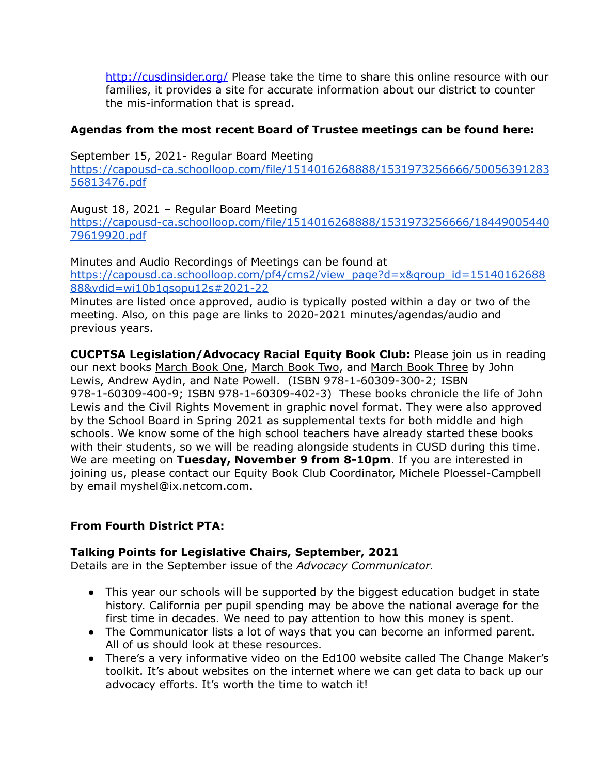[http://cusdinsider.org/](http://cusdinsider.org/%20) Please take the time to share this online resource with our families, it provides a site for accurate information about our district to counter the mis-information that is spread.

### **Agendas from the most recent Board of Trustee meetings can be found here:**

September 15, 2021- Regular Board Meeting [https://capousd-ca.schoolloop.com/file/1514016268888/1531973256666/50056391283](https://capousd-ca.schoolloop.com/file/1514016268888/1531973256666/5005639128356813476.pdf) [56813476.pdf](https://capousd-ca.schoolloop.com/file/1514016268888/1531973256666/5005639128356813476.pdf)

August 18, 2021 – Regular Board Meeting [https://capousd-ca.schoolloop.com/file/1514016268888/1531973256666/18449005440](https://capousd-ca.schoolloop.com/file/1514016268888/1531973256666/1844900544079619920.pdf) [79619920.pdf](https://capousd-ca.schoolloop.com/file/1514016268888/1531973256666/1844900544079619920.pdf)

Minutes and Audio Recordings of Meetings can be found at [https://capousd.ca.schoolloop.com/pf4/cms2/view\\_page?d=x&group\\_id=15140162688](https://capousd.ca.schoolloop.com/pf4/cms2/view_page?d=x&group_id=1514016268888&vdid=wi10b1qsopu12s#2021-22) [88&vdid=wi10b1qsopu12s#2021-22](https://capousd.ca.schoolloop.com/pf4/cms2/view_page?d=x&group_id=1514016268888&vdid=wi10b1qsopu12s#2021-22)

Minutes are listed once approved, audio is typically posted within a day or two of the meeting. Also, on this page are links to 2020-2021 minutes/agendas/audio and previous years.

**CUCPTSA Legislation/Advocacy Racial Equity Book Club:** Please join us in reading our next books March Book One, March Book Two, and March Book Three by John Lewis, Andrew Aydin, and Nate Powell. (ISBN 978-1-60309-300-2; ISBN 978-1-60309-400-9; ISBN 978-1-60309-402-3) These books chronicle the life of John Lewis and the Civil Rights Movement in graphic novel format. They were also approved by the School Board in Spring 2021 as supplemental texts for both middle and high schools. We know some of the high school teachers have already started these books with their students, so we will be reading alongside students in CUSD during this time. We are meeting on **Tuesday, November 9 from 8-10pm**. If you are interested in joining us, please contact our Equity Book Club Coordinator, Michele Ploessel-Campbell by email myshel@ix.netcom.com.

#### **From Fourth District PTA:**

#### **Talking Points for Legislative Chairs, September, 2021**

Details are in the September issue of the *Advocacy Communicator.*

- This year our schools will be supported by the biggest education budget in state history. California per pupil spending may be above the national average for the first time in decades. We need to pay attention to how this money is spent.
- The Communicator lists a lot of ways that you can become an informed parent. All of us should look at these resources.
- There's a very informative video on the Ed100 website called The Change Maker's toolkit. It's about websites on the internet where we can get data to back up our advocacy efforts. It's worth the time to watch it!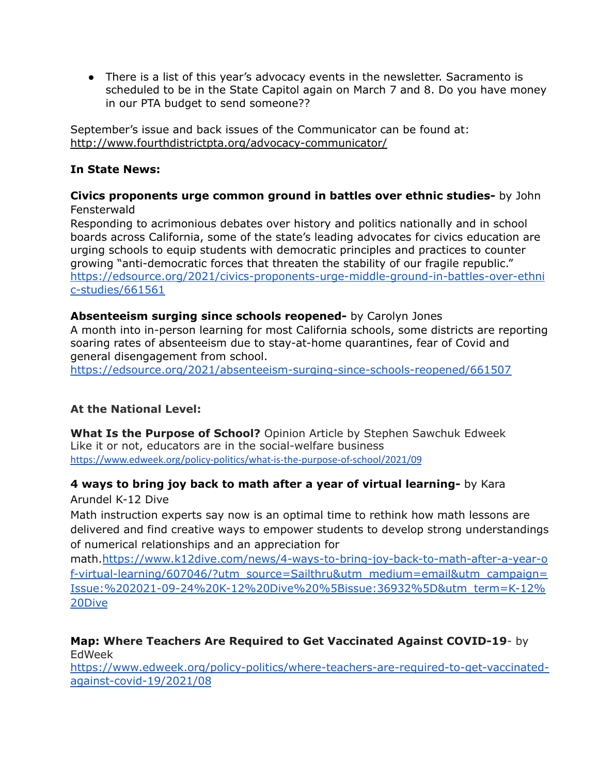● There is a list of this year's advocacy events in the newsletter. Sacramento is scheduled to be in the State Capitol again on March 7 and 8. Do you have money in our PTA budget to send someone??

September's issue and back issues of the Communicator can be found at: <http://www.fourthdistrictpta.org/advocacy-communicator/>

### **In State News:**

#### **Civics proponents urge common ground in battles over ethnic studies-** by John Fensterwald

Responding to acrimonious debates over history and politics nationally and in school boards across California, some of the state's leading advocates for civics education are urging schools to equip students with democratic principles and practices to counter growing "anti-democratic forces that threaten the stability of our fragile republic." [https://edsource.org/2021/civics-proponents-urge-middle-ground-in-battles-over-ethni](https://edsource.org/2021/civics-proponents-urge-middle-ground-in-battles-over-ethnic-studies/661561) [c-studies/661561](https://edsource.org/2021/civics-proponents-urge-middle-ground-in-battles-over-ethnic-studies/661561)

#### **Absenteeism surging since schools reopened-** by Carolyn Jones

A month into in-person learning for most California schools, some districts are reporting soaring rates of absenteeism due to stay-at-home quarantines, fear of Covid and general disengagement from school.

<https://edsource.org/2021/absenteeism-surging-since-schools-reopened/661507>

#### **At the National Level:**

**What Is the Purpose of School?** Opinion Article by Stephen Sawchuk Edweek Like it or not, educators are in the social-welfare business <https://www.edweek.org/policy-politics/what-is-the-purpose-of-school/2021/09>

## **4 ways to bring joy back to math after a year of virtual learning-** by Kara

Arundel K-12 Dive

Math instruction experts say now is an optimal time to rethink how math lessons are delivered and find creative ways to empower students to develop strong understandings of numerical relationships and an appreciation for

math.[https://www.k12dive.com/news/4-ways-to-bring-joy-back-to-math-after-a-year-o](https://www.k12dive.com/news/4-ways-to-bring-joy-back-to-math-after-a-year-of-virtual-learning/607046/?utm_source=Sailthru&utm_medium=email&utm_campaign=Issue:%202021-09-24%20K-12%20Dive%20%5Bissue:36932%5D&utm_term=K-12%20Dive) [f-virtual-learning/607046/?utm\\_source=Sailthru&utm\\_medium=email&utm\\_campaign=](https://www.k12dive.com/news/4-ways-to-bring-joy-back-to-math-after-a-year-of-virtual-learning/607046/?utm_source=Sailthru&utm_medium=email&utm_campaign=Issue:%202021-09-24%20K-12%20Dive%20%5Bissue:36932%5D&utm_term=K-12%20Dive) [Issue:%202021-09-24%20K-12%20Dive%20%5Bissue:36932%5D&utm\\_term=K-12%](https://www.k12dive.com/news/4-ways-to-bring-joy-back-to-math-after-a-year-of-virtual-learning/607046/?utm_source=Sailthru&utm_medium=email&utm_campaign=Issue:%202021-09-24%20K-12%20Dive%20%5Bissue:36932%5D&utm_term=K-12%20Dive) [20Dive](https://www.k12dive.com/news/4-ways-to-bring-joy-back-to-math-after-a-year-of-virtual-learning/607046/?utm_source=Sailthru&utm_medium=email&utm_campaign=Issue:%202021-09-24%20K-12%20Dive%20%5Bissue:36932%5D&utm_term=K-12%20Dive)

#### **Map: Where Teachers Are Required to Get Vaccinated Against COVID-19**- by EdWeek

[https://www.edweek.org/policy-politics/where-teachers-are-required-to-get-vaccinated](https://www.edweek.org/policy-politics/where-teachers-are-required-to-get-vaccinated-against-covid-19/2021/08)[against-covid-19/2021/08](https://www.edweek.org/policy-politics/where-teachers-are-required-to-get-vaccinated-against-covid-19/2021/08)